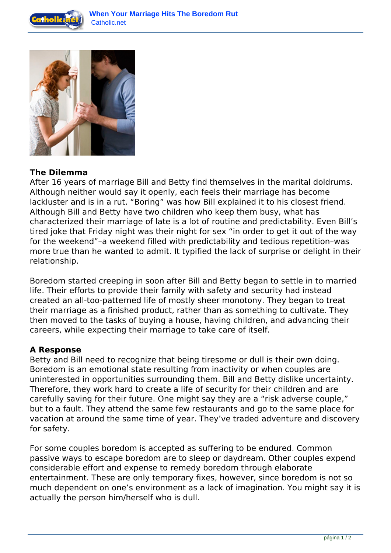



## **The Dilemma**

After 16 years of marriage Bill and Betty find themselves in the marital doldrums. Although neither would say it openly, each feels their marriage has become lackluster and is in a rut. "Boring" was how Bill explained it to his closest friend. Although Bill and Betty have two children who keep them busy, what has characterized their marriage of late is a lot of routine and predictability. Even Bill's tired joke that Friday night was their night for sex "in order to get it out of the way for the weekend"–a weekend filled with predictability and tedious repetition–was more true than he wanted to admit. It typified the lack of surprise or delight in their relationship.

Boredom started creeping in soon after Bill and Betty began to settle in to married life. Their efforts to provide their family with safety and security had instead created an all-too-patterned life of mostly sheer monotony. They began to treat their marriage as a finished product, rather than as something to cultivate. They then moved to the tasks of buying a house, having children, and advancing their careers, while expecting their marriage to take care of itself.

## **A Response**

Betty and Bill need to recognize that being tiresome or dull is their own doing. Boredom is an emotional state resulting from inactivity or when couples are uninterested in opportunities surrounding them. Bill and Betty dislike uncertainty. Therefore, they work hard to create a life of security for their children and are carefully saving for their future. One might say they are a "risk adverse couple," but to a fault. They attend the same few restaurants and go to the same place for vacation at around the same time of year. They've traded adventure and discovery for safety.

For some couples boredom is accepted as suffering to be endured. Common passive ways to escape boredom are to sleep or daydream. Other couples expend considerable effort and expense to remedy boredom through elaborate entertainment. These are only temporary fixes, however, since boredom is not so much dependent on one's environment as a lack of imagination. You might say it is actually the person him/herself who is dull.